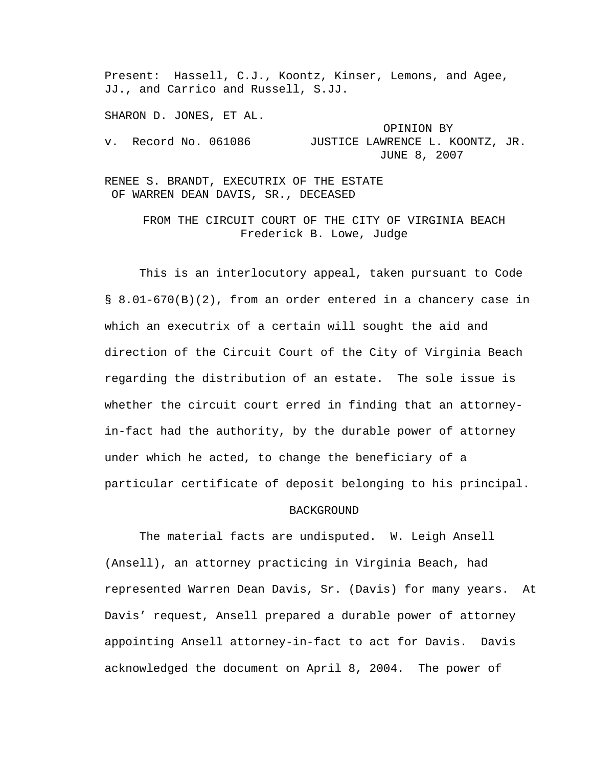Present: Hassell, C.J., Koontz, Kinser, Lemons, and Agee, JJ., and Carrico and Russell, S.JJ.

SHARON D. JONES, ET AL.

 OPINION BY v. Record No. 061086 JUSTICE LAWRENCE L. KOONTZ, JR. JUNE 8, 2007

RENEE S. BRANDT, EXECUTRIX OF THE ESTATE OF WARREN DEAN DAVIS, SR., DECEASED

> FROM THE CIRCUIT COURT OF THE CITY OF VIRGINIA BEACH Frederick B. Lowe, Judge

 This is an interlocutory appeal, taken pursuant to Code § 8.01-670(B)(2), from an order entered in a chancery case in which an executrix of a certain will sought the aid and direction of the Circuit Court of the City of Virginia Beach regarding the distribution of an estate. The sole issue is whether the circuit court erred in finding that an attorneyin-fact had the authority, by the durable power of attorney under which he acted, to change the beneficiary of a particular certificate of deposit belonging to his principal.

## BACKGROUND

 The material facts are undisputed. W. Leigh Ansell (Ansell), an attorney practicing in Virginia Beach, had represented Warren Dean Davis, Sr. (Davis) for many years. At Davis' request, Ansell prepared a durable power of attorney appointing Ansell attorney-in-fact to act for Davis. Davis acknowledged the document on April 8, 2004. The power of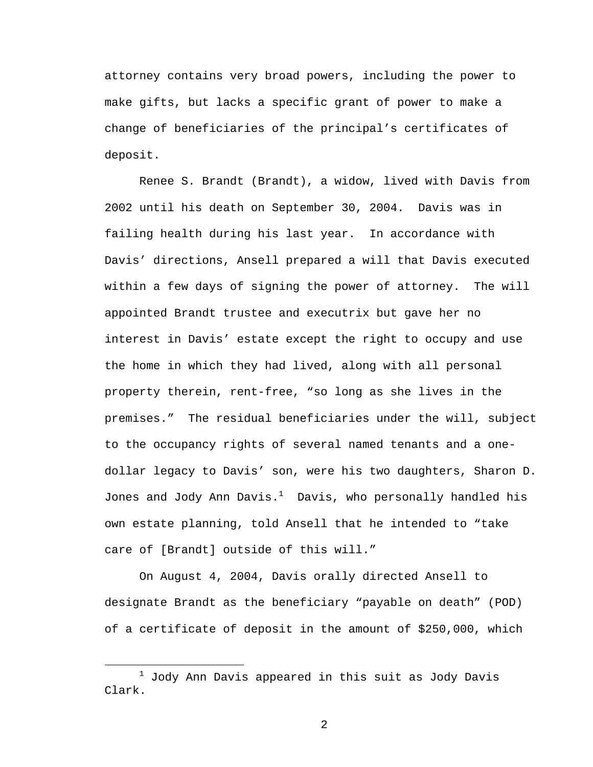attorney contains very broad powers, including the power to make gifts, but lacks a specific grant of power to make a change of beneficiaries of the principal's certificates of deposit.

 Renee S. Brandt (Brandt), a widow, lived with Davis from 2002 until his death on September 30, 2004. Davis was in failing health during his last year. In accordance with Davis' directions, Ansell prepared a will that Davis executed within a few days of signing the power of attorney. The will appointed Brandt trustee and executrix but gave her no interest in Davis' estate except the right to occupy and use the home in which they had lived, along with all personal property therein, rent-free, "so long as she lives in the premises." The residual beneficiaries under the will, subject to the occupancy rights of several named tenants and a onedollar legacy to Davis' son, were his two daughters, Sharon D. Jones and Jody Ann Davis. $^1$  Davis, who personally handled his own estate planning, told Ansell that he intended to "take care of [Brandt] outside of this will."

 On August 4, 2004, Davis orally directed Ansell to designate Brandt as the beneficiary "payable on death" (POD) of a certificate of deposit in the amount of \$250,000, which

 $\overline{\phantom{a}}$  $1$  Jody Ann Davis appeared in this suit as Jody Davis Clark.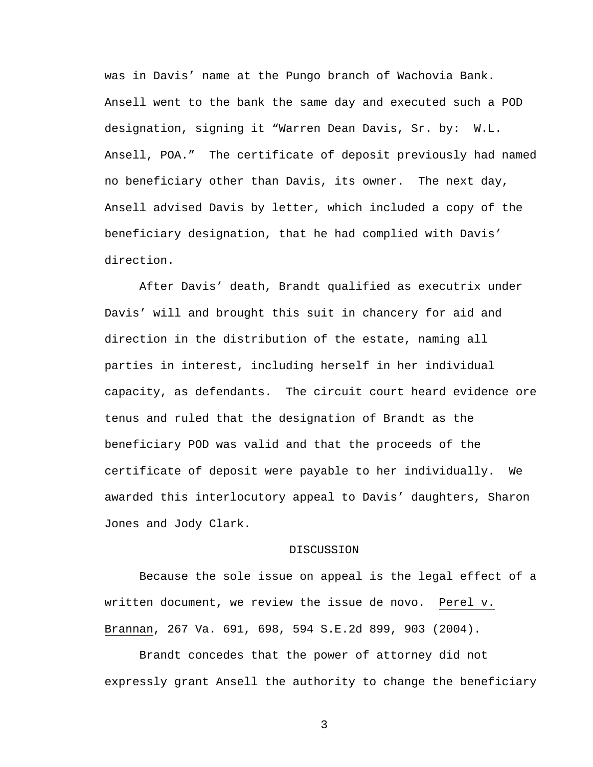was in Davis' name at the Pungo branch of Wachovia Bank. Ansell went to the bank the same day and executed such a POD designation, signing it "Warren Dean Davis, Sr. by: W.L. Ansell, POA." The certificate of deposit previously had named no beneficiary other than Davis, its owner. The next day, Ansell advised Davis by letter, which included a copy of the beneficiary designation, that he had complied with Davis' direction.

 After Davis' death, Brandt qualified as executrix under Davis' will and brought this suit in chancery for aid and direction in the distribution of the estate, naming all parties in interest, including herself in her individual capacity, as defendants. The circuit court heard evidence ore tenus and ruled that the designation of Brandt as the beneficiary POD was valid and that the proceeds of the certificate of deposit were payable to her individually. We awarded this interlocutory appeal to Davis' daughters, Sharon Jones and Jody Clark.

## DISCUSSION

 Because the sole issue on appeal is the legal effect of a written document, we review the issue de novo. Perel v. Brannan, 267 Va. 691, 698, 594 S.E.2d 899, 903 (2004).

 Brandt concedes that the power of attorney did not expressly grant Ansell the authority to change the beneficiary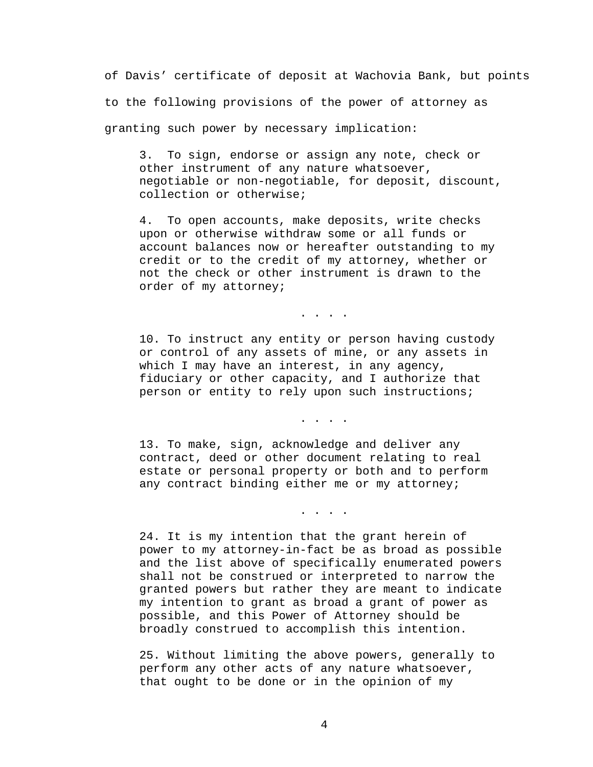of Davis' certificate of deposit at Wachovia Bank, but points to the following provisions of the power of attorney as granting such power by necessary implication:

3. To sign, endorse or assign any note, check or other instrument of any nature whatsoever, negotiable or non-negotiable, for deposit, discount, collection or otherwise;

4. To open accounts, make deposits, write checks upon or otherwise withdraw some or all funds or account balances now or hereafter outstanding to my credit or to the credit of my attorney, whether or not the check or other instrument is drawn to the order of my attorney;

. . . .

10. To instruct any entity or person having custody or control of any assets of mine, or any assets in which I may have an interest, in any agency, fiduciary or other capacity, and I authorize that person or entity to rely upon such instructions;

. . . .

13. To make, sign, acknowledge and deliver any contract, deed or other document relating to real estate or personal property or both and to perform any contract binding either me or my attorney;

. . . .

24. It is my intention that the grant herein of power to my attorney-in-fact be as broad as possible and the list above of specifically enumerated powers shall not be construed or interpreted to narrow the granted powers but rather they are meant to indicate my intention to grant as broad a grant of power as possible, and this Power of Attorney should be broadly construed to accomplish this intention.

25. Without limiting the above powers, generally to perform any other acts of any nature whatsoever, that ought to be done or in the opinion of my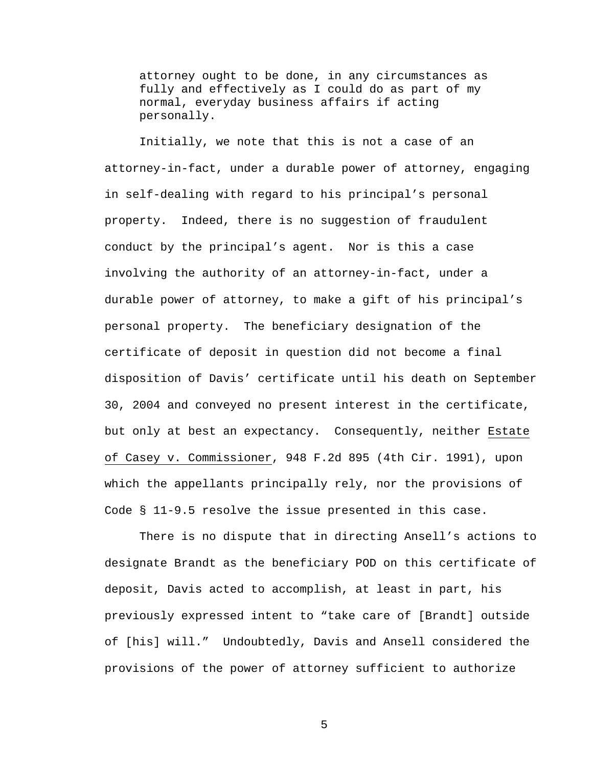attorney ought to be done, in any circumstances as fully and effectively as I could do as part of my normal, everyday business affairs if acting personally.

 Initially, we note that this is not a case of an attorney-in-fact, under a durable power of attorney, engaging in self-dealing with regard to his principal's personal property. Indeed, there is no suggestion of fraudulent conduct by the principal's agent. Nor is this a case involving the authority of an attorney-in-fact, under a durable power of attorney, to make a gift of his principal's personal property. The beneficiary designation of the certificate of deposit in question did not become a final disposition of Davis' certificate until his death on September 30, 2004 and conveyed no present interest in the certificate, but only at best an expectancy. Consequently, neither Estate of Casey v. Commissioner, 948 F.2d 895 (4th Cir. 1991), upon which the appellants principally rely, nor the provisions of Code § 11-9.5 resolve the issue presented in this case.

 There is no dispute that in directing Ansell's actions to designate Brandt as the beneficiary POD on this certificate of deposit, Davis acted to accomplish, at least in part, his previously expressed intent to "take care of [Brandt] outside of [his] will." Undoubtedly, Davis and Ansell considered the provisions of the power of attorney sufficient to authorize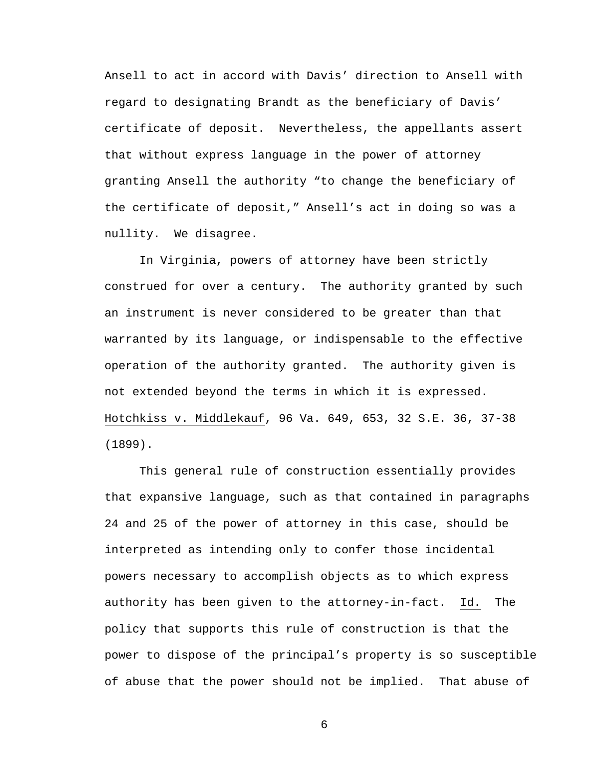Ansell to act in accord with Davis' direction to Ansell with regard to designating Brandt as the beneficiary of Davis' certificate of deposit. Nevertheless, the appellants assert that without express language in the power of attorney granting Ansell the authority "to change the beneficiary of the certificate of deposit," Ansell's act in doing so was a nullity. We disagree.

 In Virginia, powers of attorney have been strictly construed for over a century. The authority granted by such an instrument is never considered to be greater than that warranted by its language, or indispensable to the effective operation of the authority granted. The authority given is not extended beyond the terms in which it is expressed. Hotchkiss v. Middlekauf, 96 Va. 649, 653, 32 S.E. 36, 37-38 (1899).

 This general rule of construction essentially provides that expansive language, such as that contained in paragraphs 24 and 25 of the power of attorney in this case, should be interpreted as intending only to confer those incidental powers necessary to accomplish objects as to which express authority has been given to the attorney-in-fact. Id. The policy that supports this rule of construction is that the power to dispose of the principal's property is so susceptible of abuse that the power should not be implied. That abuse of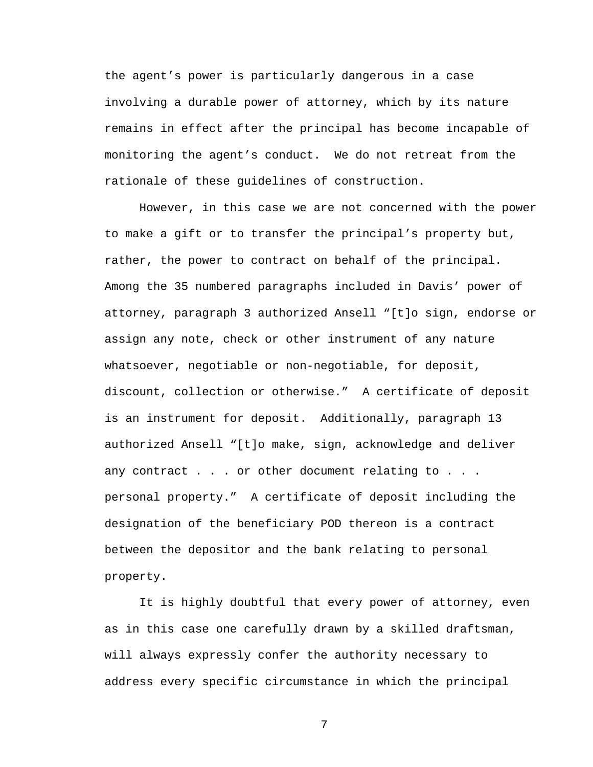the agent's power is particularly dangerous in a case involving a durable power of attorney, which by its nature remains in effect after the principal has become incapable of monitoring the agent's conduct. We do not retreat from the rationale of these guidelines of construction.

 However, in this case we are not concerned with the power to make a gift or to transfer the principal's property but, rather, the power to contract on behalf of the principal. Among the 35 numbered paragraphs included in Davis' power of attorney, paragraph 3 authorized Ansell "[t]o sign, endorse or assign any note, check or other instrument of any nature whatsoever, negotiable or non-negotiable, for deposit, discount, collection or otherwise." A certificate of deposit is an instrument for deposit. Additionally, paragraph 13 authorized Ansell "[t]o make, sign, acknowledge and deliver any contract . . . or other document relating to . . . personal property." A certificate of deposit including the designation of the beneficiary POD thereon is a contract between the depositor and the bank relating to personal property.

 It is highly doubtful that every power of attorney, even as in this case one carefully drawn by a skilled draftsman, will always expressly confer the authority necessary to address every specific circumstance in which the principal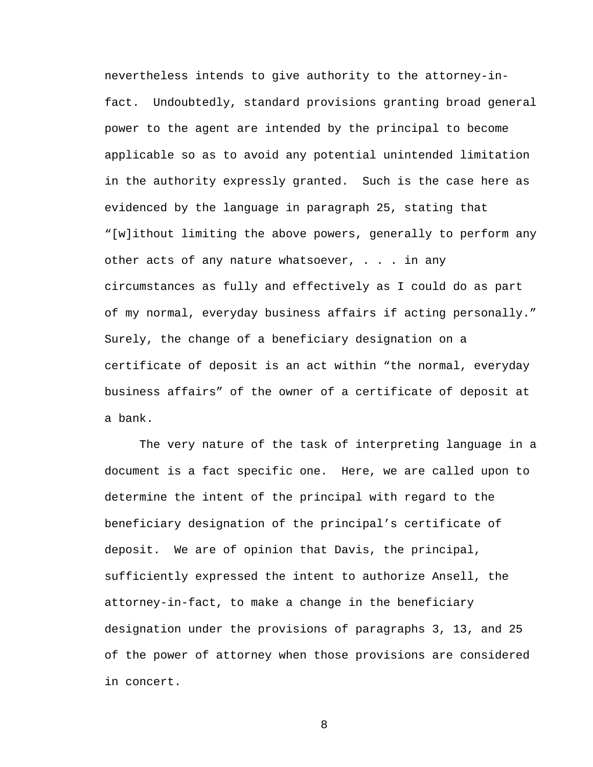nevertheless intends to give authority to the attorney-infact. Undoubtedly, standard provisions granting broad general power to the agent are intended by the principal to become applicable so as to avoid any potential unintended limitation in the authority expressly granted. Such is the case here as evidenced by the language in paragraph 25, stating that "[w]ithout limiting the above powers, generally to perform any other acts of any nature whatsoever, . . . in any circumstances as fully and effectively as I could do as part of my normal, everyday business affairs if acting personally." Surely, the change of a beneficiary designation on a certificate of deposit is an act within "the normal, everyday business affairs" of the owner of a certificate of deposit at a bank.

 The very nature of the task of interpreting language in a document is a fact specific one. Here, we are called upon to determine the intent of the principal with regard to the beneficiary designation of the principal's certificate of deposit. We are of opinion that Davis, the principal, sufficiently expressed the intent to authorize Ansell, the attorney-in-fact, to make a change in the beneficiary designation under the provisions of paragraphs 3, 13, and 25 of the power of attorney when those provisions are considered in concert.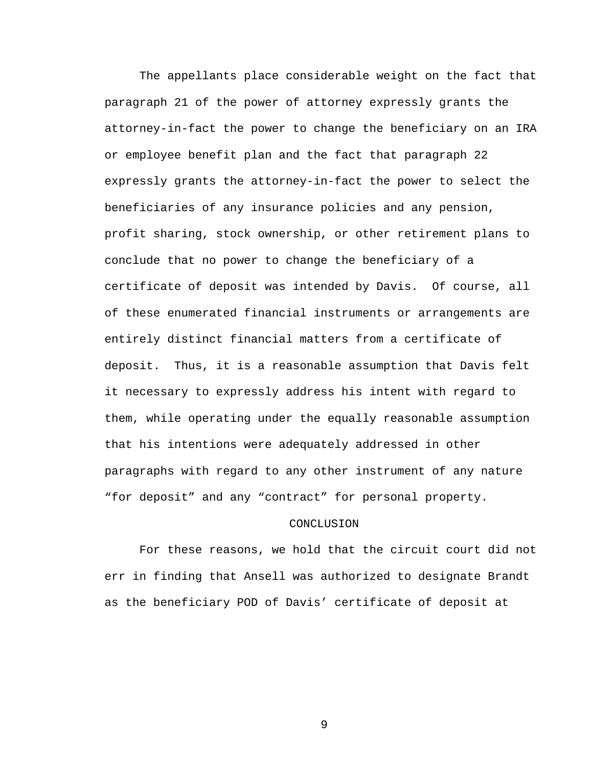The appellants place considerable weight on the fact that paragraph 21 of the power of attorney expressly grants the attorney-in-fact the power to change the beneficiary on an IRA or employee benefit plan and the fact that paragraph 22 expressly grants the attorney-in-fact the power to select the beneficiaries of any insurance policies and any pension, profit sharing, stock ownership, or other retirement plans to conclude that no power to change the beneficiary of a certificate of deposit was intended by Davis. Of course, all of these enumerated financial instruments or arrangements are entirely distinct financial matters from a certificate of deposit. Thus, it is a reasonable assumption that Davis felt it necessary to expressly address his intent with regard to them, while operating under the equally reasonable assumption that his intentions were adequately addressed in other paragraphs with regard to any other instrument of any nature "for deposit" and any "contract" for personal property.

## CONCLUSION

 For these reasons, we hold that the circuit court did not err in finding that Ansell was authorized to designate Brandt as the beneficiary POD of Davis' certificate of deposit at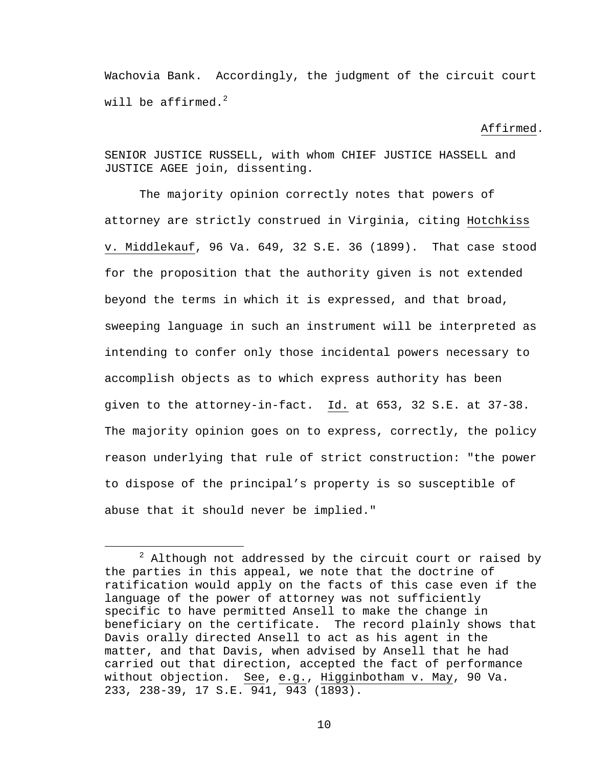Wachovia Bank. Accordingly, the judgment of the circuit court will be affirmed.<sup>2</sup>

## Affirmed.

SENIOR JUSTICE RUSSELL, with whom CHIEF JUSTICE HASSELL and JUSTICE AGEE join, dissenting.

The majority opinion correctly notes that powers of attorney are strictly construed in Virginia, citing Hotchkiss v. Middlekauf, 96 Va. 649, 32 S.E. 36 (1899). That case stood for the proposition that the authority given is not extended beyond the terms in which it is expressed, and that broad, sweeping language in such an instrument will be interpreted as intending to confer only those incidental powers necessary to accomplish objects as to which express authority has been given to the attorney-in-fact. Id. at 653, 32 S.E. at 37-38. The majority opinion goes on to express, correctly, the policy reason underlying that rule of strict construction: "the power to dispose of the principal's property is so susceptible of abuse that it should never be implied."

 $\overline{\phantom{a}}$  $2$  Although not addressed by the circuit court or raised by the parties in this appeal, we note that the doctrine of ratification would apply on the facts of this case even if the language of the power of attorney was not sufficiently specific to have permitted Ansell to make the change in beneficiary on the certificate. The record plainly shows that Davis orally directed Ansell to act as his agent in the matter, and that Davis, when advised by Ansell that he had carried out that direction, accepted the fact of performance without objection. See, e.g., Higginbotham v. May, 90 Va. 233, 238-39, 17 S.E. 941, 943 (1893).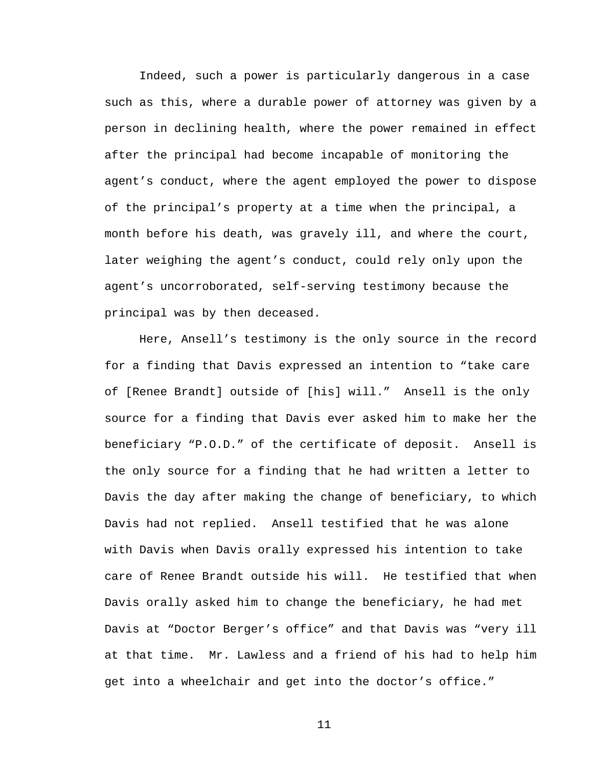Indeed, such a power is particularly dangerous in a case such as this, where a durable power of attorney was given by a person in declining health, where the power remained in effect after the principal had become incapable of monitoring the agent's conduct, where the agent employed the power to dispose of the principal's property at a time when the principal, a month before his death, was gravely ill, and where the court, later weighing the agent's conduct, could rely only upon the agent's uncorroborated, self-serving testimony because the principal was by then deceased.

Here, Ansell's testimony is the only source in the record for a finding that Davis expressed an intention to "take care of [Renee Brandt] outside of [his] will." Ansell is the only source for a finding that Davis ever asked him to make her the beneficiary "P.O.D." of the certificate of deposit. Ansell is the only source for a finding that he had written a letter to Davis the day after making the change of beneficiary, to which Davis had not replied. Ansell testified that he was alone with Davis when Davis orally expressed his intention to take care of Renee Brandt outside his will. He testified that when Davis orally asked him to change the beneficiary, he had met Davis at "Doctor Berger's office" and that Davis was "very ill at that time. Mr. Lawless and a friend of his had to help him get into a wheelchair and get into the doctor's office."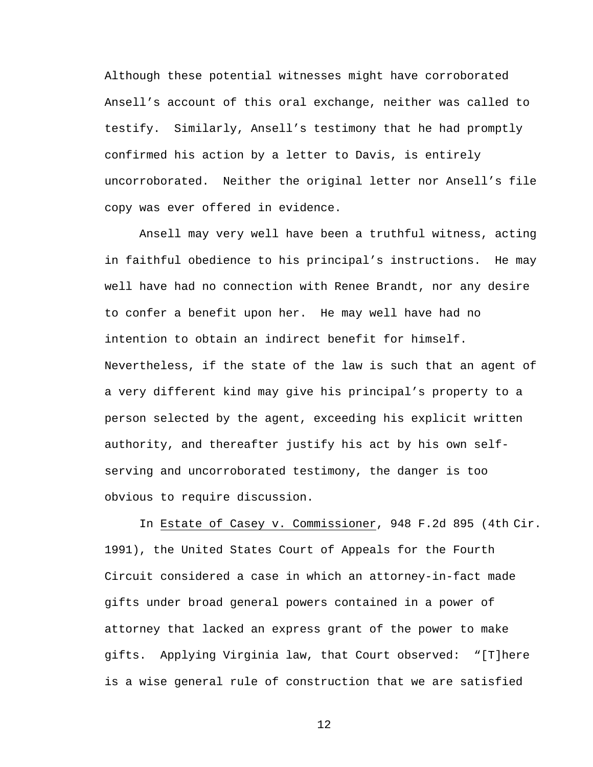Although these potential witnesses might have corroborated Ansell's account of this oral exchange, neither was called to testify. Similarly, Ansell's testimony that he had promptly confirmed his action by a letter to Davis, is entirely uncorroborated. Neither the original letter nor Ansell's file copy was ever offered in evidence.

Ansell may very well have been a truthful witness, acting in faithful obedience to his principal's instructions. He may well have had no connection with Renee Brandt, nor any desire to confer a benefit upon her. He may well have had no intention to obtain an indirect benefit for himself. Nevertheless, if the state of the law is such that an agent of a very different kind may give his principal's property to a person selected by the agent, exceeding his explicit written authority, and thereafter justify his act by his own selfserving and uncorroborated testimony, the danger is too obvious to require discussion.

In Estate of Casey v. Commissioner, 948 F.2d 895 (4th Cir. 1991), the United States Court of Appeals for the Fourth Circuit considered a case in which an attorney-in-fact made gifts under broad general powers contained in a power of attorney that lacked an express grant of the power to make gifts. Applying Virginia law, that Court observed: "[T]here is a wise general rule of construction that we are satisfied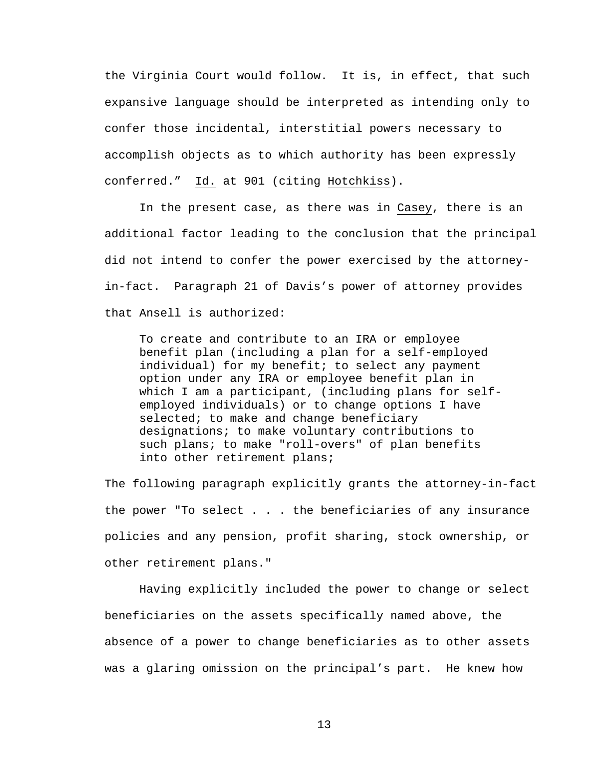the Virginia Court would follow. It is, in effect, that such expansive language should be interpreted as intending only to confer those incidental, interstitial powers necessary to accomplish objects as to which authority has been expressly conferred." Id. at 901 (citing Hotchkiss).

 In the present case, as there was in Casey, there is an additional factor leading to the conclusion that the principal did not intend to confer the power exercised by the attorneyin-fact. Paragraph 21 of Davis's power of attorney provides that Ansell is authorized:

To create and contribute to an IRA or employee benefit plan (including a plan for a self-employed individual) for my benefit; to select any payment option under any IRA or employee benefit plan in which I am a participant, (including plans for selfemployed individuals) or to change options I have selected; to make and change beneficiary designations; to make voluntary contributions to such plans; to make "roll-overs" of plan benefits into other retirement plans;

The following paragraph explicitly grants the attorney-in-fact the power "To select . . . the beneficiaries of any insurance policies and any pension, profit sharing, stock ownership, or other retirement plans."

 Having explicitly included the power to change or select beneficiaries on the assets specifically named above, the absence of a power to change beneficiaries as to other assets was a glaring omission on the principal's part. He knew how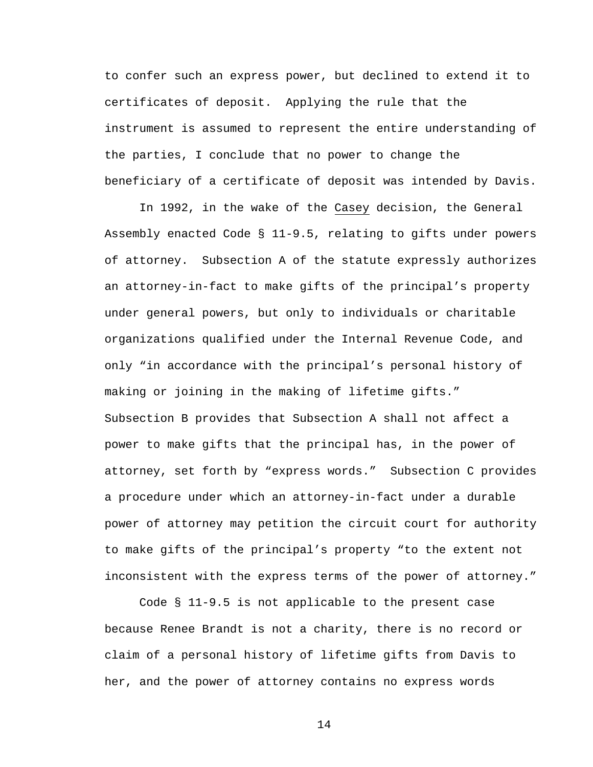to confer such an express power, but declined to extend it to certificates of deposit. Applying the rule that the instrument is assumed to represent the entire understanding of the parties, I conclude that no power to change the beneficiary of a certificate of deposit was intended by Davis.

 In 1992, in the wake of the Casey decision, the General Assembly enacted Code § 11-9.5, relating to gifts under powers of attorney. Subsection A of the statute expressly authorizes an attorney-in-fact to make gifts of the principal's property under general powers, but only to individuals or charitable organizations qualified under the Internal Revenue Code, and only "in accordance with the principal's personal history of making or joining in the making of lifetime gifts." Subsection B provides that Subsection A shall not affect a power to make gifts that the principal has, in the power of attorney, set forth by "express words." Subsection C provides a procedure under which an attorney-in-fact under a durable power of attorney may petition the circuit court for authority to make gifts of the principal's property "to the extent not inconsistent with the express terms of the power of attorney."

 Code § 11-9.5 is not applicable to the present case because Renee Brandt is not a charity, there is no record or claim of a personal history of lifetime gifts from Davis to her, and the power of attorney contains no express words